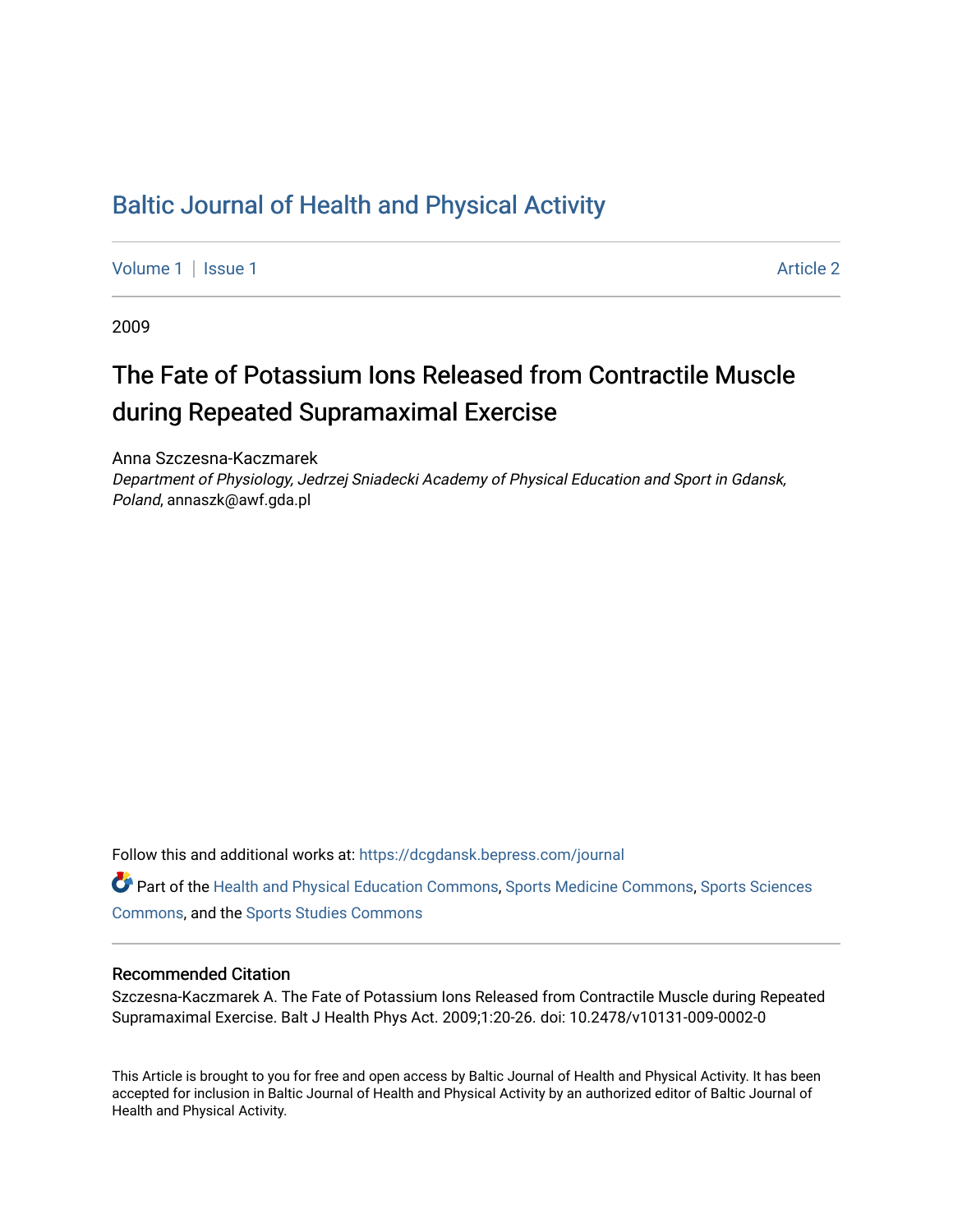# [Baltic Journal of Health and Physical Activity](https://dcgdansk.bepress.com/journal)

[Volume 1](https://dcgdansk.bepress.com/journal/vol1) | [Issue 1](https://dcgdansk.bepress.com/journal/vol1/iss1) Article 2

2009

# The Fate of Potassium Ions Released from Contractile Muscle during Repeated Supramaximal Exercise

Anna Szczesna-Kaczmarek Department of Physiology, Jedrzej Sniadecki Academy of Physical Education and Sport in Gdansk, Poland, annaszk@awf.gda.pl

Follow this and additional works at: [https://dcgdansk.bepress.com/journal](https://dcgdansk.bepress.com/journal?utm_source=dcgdansk.bepress.com%2Fjournal%2Fvol1%2Fiss1%2F2&utm_medium=PDF&utm_campaign=PDFCoverPages)

Part of the [Health and Physical Education Commons](http://network.bepress.com/hgg/discipline/1327?utm_source=dcgdansk.bepress.com%2Fjournal%2Fvol1%2Fiss1%2F2&utm_medium=PDF&utm_campaign=PDFCoverPages), [Sports Medicine Commons,](http://network.bepress.com/hgg/discipline/1331?utm_source=dcgdansk.bepress.com%2Fjournal%2Fvol1%2Fiss1%2F2&utm_medium=PDF&utm_campaign=PDFCoverPages) [Sports Sciences](http://network.bepress.com/hgg/discipline/759?utm_source=dcgdansk.bepress.com%2Fjournal%2Fvol1%2Fiss1%2F2&utm_medium=PDF&utm_campaign=PDFCoverPages) [Commons](http://network.bepress.com/hgg/discipline/759?utm_source=dcgdansk.bepress.com%2Fjournal%2Fvol1%2Fiss1%2F2&utm_medium=PDF&utm_campaign=PDFCoverPages), and the [Sports Studies Commons](http://network.bepress.com/hgg/discipline/1198?utm_source=dcgdansk.bepress.com%2Fjournal%2Fvol1%2Fiss1%2F2&utm_medium=PDF&utm_campaign=PDFCoverPages) 

#### Recommended Citation

Szczesna-Kaczmarek A. The Fate of Potassium Ions Released from Contractile Muscle during Repeated Supramaximal Exercise. Balt J Health Phys Act. 2009;1:20-26. doi: 10.2478/v10131-009-0002-0

This Article is brought to you for free and open access by Baltic Journal of Health and Physical Activity. It has been accepted for inclusion in Baltic Journal of Health and Physical Activity by an authorized editor of Baltic Journal of Health and Physical Activity.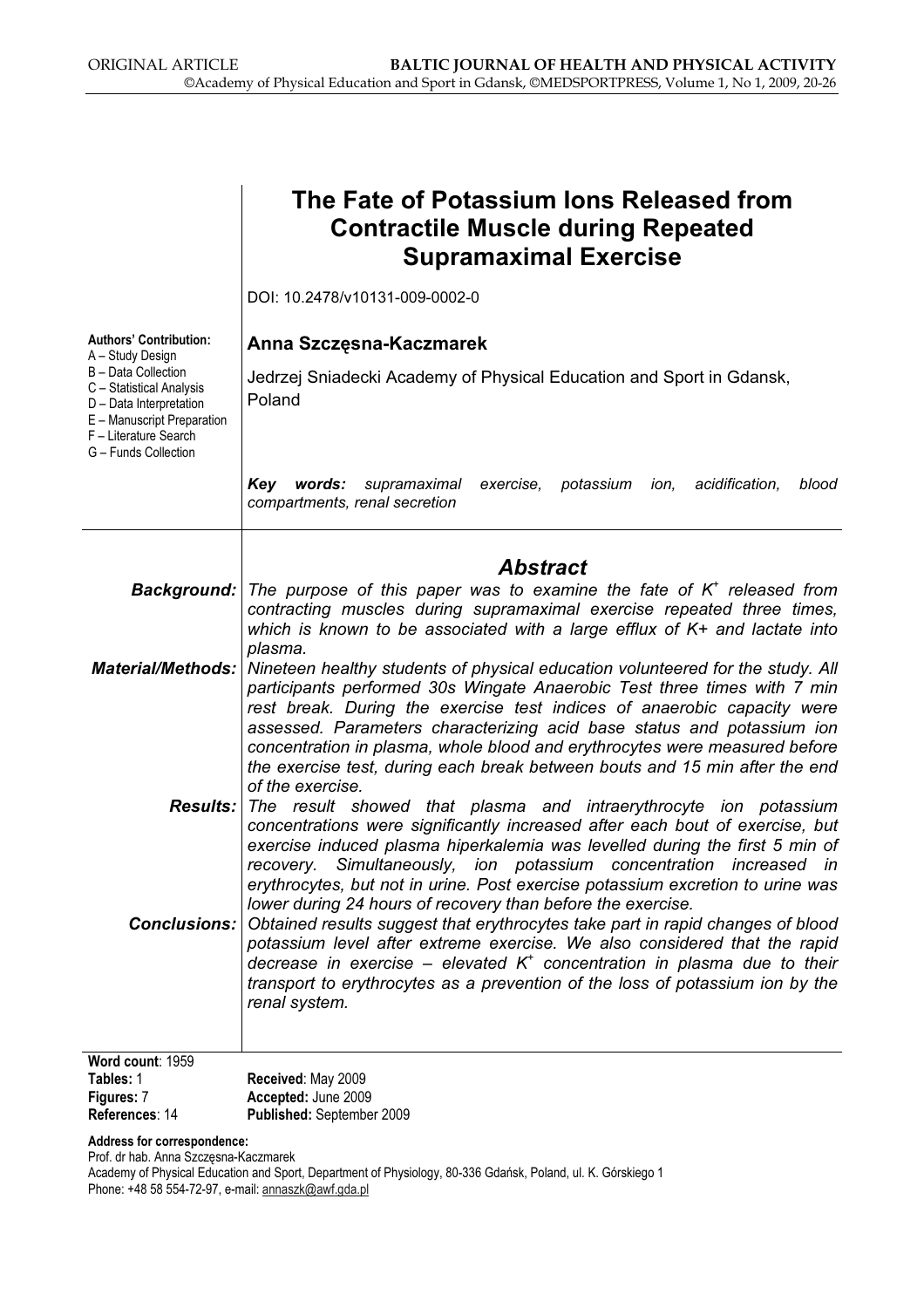|                                                                                                                                                           | The Fate of Potassium lons Released from<br><b>Contractile Muscle during Repeated</b><br><b>Supramaximal Exercise</b>                                                                                                                                                                                                                                                                                                                                                                            |
|-----------------------------------------------------------------------------------------------------------------------------------------------------------|--------------------------------------------------------------------------------------------------------------------------------------------------------------------------------------------------------------------------------------------------------------------------------------------------------------------------------------------------------------------------------------------------------------------------------------------------------------------------------------------------|
|                                                                                                                                                           | DOI: 10.2478/v10131-009-0002-0                                                                                                                                                                                                                                                                                                                                                                                                                                                                   |
| <b>Authors' Contribution:</b><br>A - Study Design                                                                                                         | Anna Szczęsna-Kaczmarek                                                                                                                                                                                                                                                                                                                                                                                                                                                                          |
| B - Data Collection<br>C - Statistical Analysis<br>D - Data Interpretation<br>E - Manuscript Preparation<br>F - Literature Search<br>G - Funds Collection | Jedrzej Sniadecki Academy of Physical Education and Sport in Gdansk,<br>Poland                                                                                                                                                                                                                                                                                                                                                                                                                   |
|                                                                                                                                                           | supramaximal exercise, potassium ion,<br>acidification,<br>Key words:<br>blood<br>compartments, renal secretion                                                                                                                                                                                                                                                                                                                                                                                  |
|                                                                                                                                                           | <b>Abstract</b>                                                                                                                                                                                                                                                                                                                                                                                                                                                                                  |
|                                                                                                                                                           | <b>Background:</b> The purpose of this paper was to examine the fate of K <sup>+</sup> released from<br>contracting muscles during supramaximal exercise repeated three times,<br>which is known to be associated with a large efflux of K+ and lactate into<br>plasma.                                                                                                                                                                                                                          |
| <b>Material/Methods:</b>                                                                                                                                  | Nineteen healthy students of physical education volunteered for the study. All<br>participants performed 30s Wingate Anaerobic Test three times with 7 min<br>rest break. During the exercise test indices of anaerobic capacity were<br>assessed. Parameters characterizing acid base status and potassium ion<br>concentration in plasma, whole blood and erythrocytes were measured before<br>the exercise test, during each break between bouts and 15 min after the end<br>of the exercise. |
| <b>Results:</b>                                                                                                                                           | The result showed that plasma and intraerythrocyte ion potassium<br>concentrations were significantly increased after each bout of exercise, but<br>exercise induced plasma hiperkalemia was levelled during the first 5 min of<br>recovery. Simultaneously, ion potassium concentration increased in<br>erythrocytes, but not in urine. Post exercise potassium excretion to urine was<br>lower during 24 hours of recovery than before the exercise.                                           |
| <b>Conclusions:</b>                                                                                                                                       | Obtained results suggest that erythrocytes take part in rapid changes of blood<br>potassium level after extreme exercise. We also considered that the rapid<br>decrease in exercise – elevated $K^+$ concentration in plasma due to their<br>transport to erythrocytes as a prevention of the loss of potassium ion by the<br>renal system.                                                                                                                                                      |
| Word count: 1959                                                                                                                                          |                                                                                                                                                                                                                                                                                                                                                                                                                                                                                                  |
| Tables: 1<br>Einurec: 7                                                                                                                                   | Received: May 2009<br>Accontad: lung 2009                                                                                                                                                                                                                                                                                                                                                                                                                                                        |

Figures: 7 References: 14 Accepted: June 2009 Published: September 2009

Address for correspondence:

Prof. dr hab. Anna Szczęsna-Kaczmarek Academy of Physical Education and Sport, Department of Physiology, 80-336 Gdańsk, Poland, ul. K. Górskiego 1 Phone: +48 58 554-72-97, e-mail: annaszk@awf.gda.pl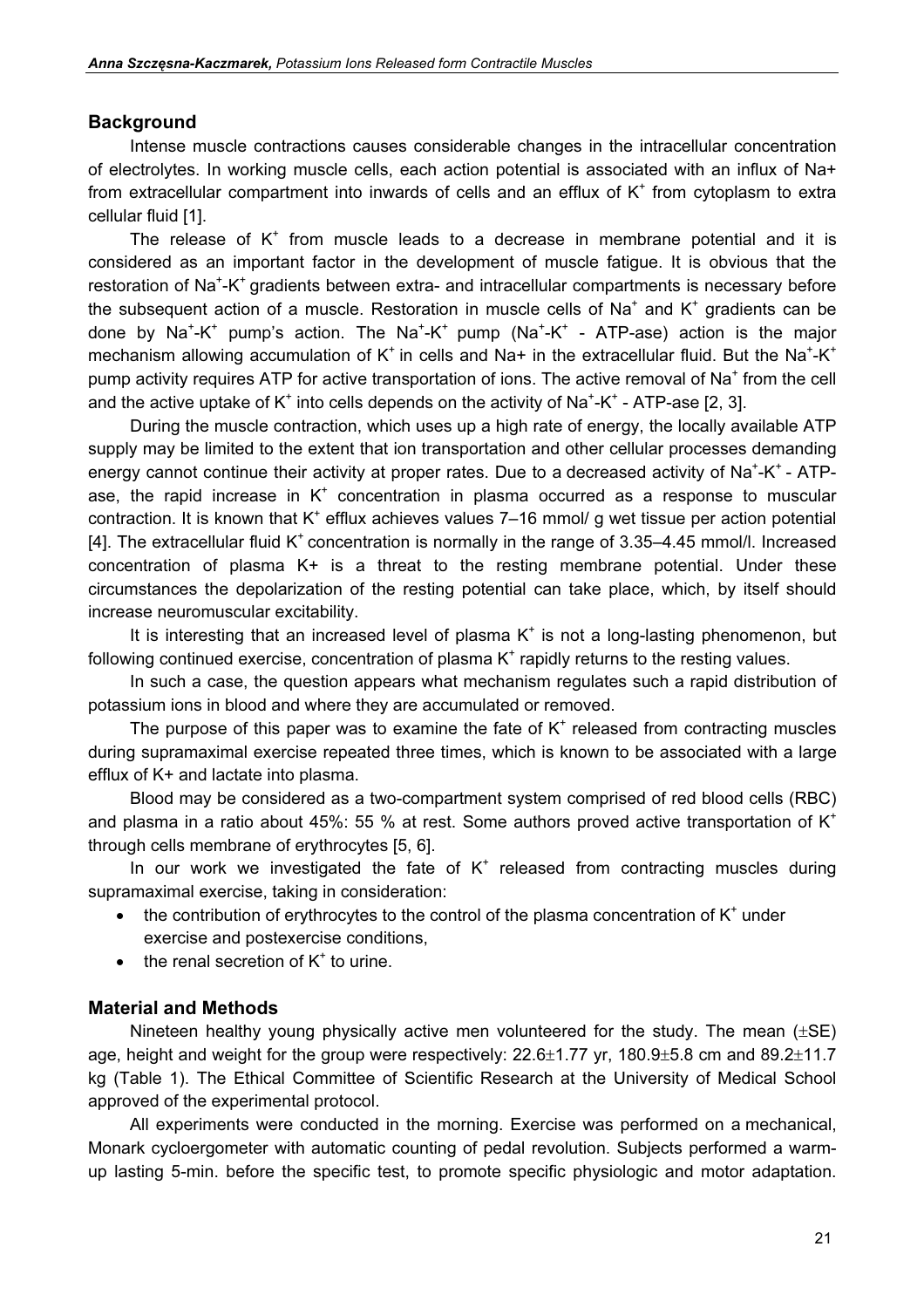### Background

Intense muscle contractions causes considerable changes in the intracellular concentration of electrolytes. In working muscle cells, each action potential is associated with an influx of Na+ from extracellular compartment into inwards of cells and an efflux of  $K^+$  from cytoplasm to extra cellular fluid [1].

The release of  $K^+$  from muscle leads to a decrease in membrane potential and it is considered as an important factor in the development of muscle fatigue. It is obvious that the restoration of Na<sup>+</sup>-K<sup>+</sup> gradients between extra- and intracellular compartments is necessary before the subsequent action of a muscle. Restoration in muscle cells of Na<sup>+</sup> and K<sup>+</sup> gradients can be done by Na<sup>+</sup>-K<sup>+</sup> pump's action. The Na<sup>+</sup>-K<sup>+</sup> pump (Na<sup>+</sup>-K<sup>+</sup> - ATP-ase) action is the major mechanism allowing accumulation of K<sup>+</sup> in cells and Na+ in the extracellular fluid. But the Na<sup>+</sup>-K<sup>+</sup> pump activity requires ATP for active transportation of ions. The active removal of Na<sup>+</sup> from the cell and the active uptake of K<sup>+</sup> into cells depends on the activity of Na<sup>+</sup>-K<sup>+</sup> - ATP-ase [2, 3].

During the muscle contraction, which uses up a high rate of energy, the locally available ATP supply may be limited to the extent that ion transportation and other cellular processes demanding energy cannot continue their activity at proper rates. Due to a decreased activity of Na<sup>+</sup>-K<sup>+</sup> - ATPase, the rapid increase in  $K^+$  concentration in plasma occurred as a response to muscular contraction. It is known that  $K^+$  efflux achieves values 7–16 mmol/ g wet tissue per action potential [4]. The extracellular fluid  $K^+$  concentration is normally in the range of 3.35–4.45 mmol/l. Increased concentration of plasma K+ is a threat to the resting membrane potential. Under these circumstances the depolarization of the resting potential can take place, which, by itself should increase neuromuscular excitability.

It is interesting that an increased level of plasma  $K^+$  is not a long-lasting phenomenon, but following continued exercise, concentration of plasma  $K^*$  rapidly returns to the resting values.

In such a case, the question appears what mechanism regulates such a rapid distribution of potassium ions in blood and where they are accumulated or removed.

The purpose of this paper was to examine the fate of  $K^*$  released from contracting muscles during supramaximal exercise repeated three times, which is known to be associated with a large efflux of K+ and lactate into plasma.

Blood may be considered as a two-compartment system comprised of red blood cells (RBC) and plasma in a ratio about 45%: 55 % at rest. Some authors proved active transportation of  $K^+$ through cells membrane of erythrocytes [5, 6].

In our work we investigated the fate of  $K^+$  released from contracting muscles during supramaximal exercise, taking in consideration:

- the contribution of erythrocytes to the control of the plasma concentration of  $K^+$  under exercise and postexercise conditions,
- $\bullet$  the renal secretion of K<sup>+</sup> to urine.

# Material and Methods

Nineteen healthy young physically active men volunteered for the study. The mean  $(\pm S E)$ age, height and weight for the group were respectively: 22.6±1.77 yr, 180.9±5.8 cm and 89.2±11.7 kg (Table 1). The Ethical Committee of Scientific Research at the University of Medical School approved of the experimental protocol.

All experiments were conducted in the morning. Exercise was performed on a mechanical, Monark cycloergometer with automatic counting of pedal revolution. Subjects performed a warmup lasting 5-min. before the specific test, to promote specific physiologic and motor adaptation.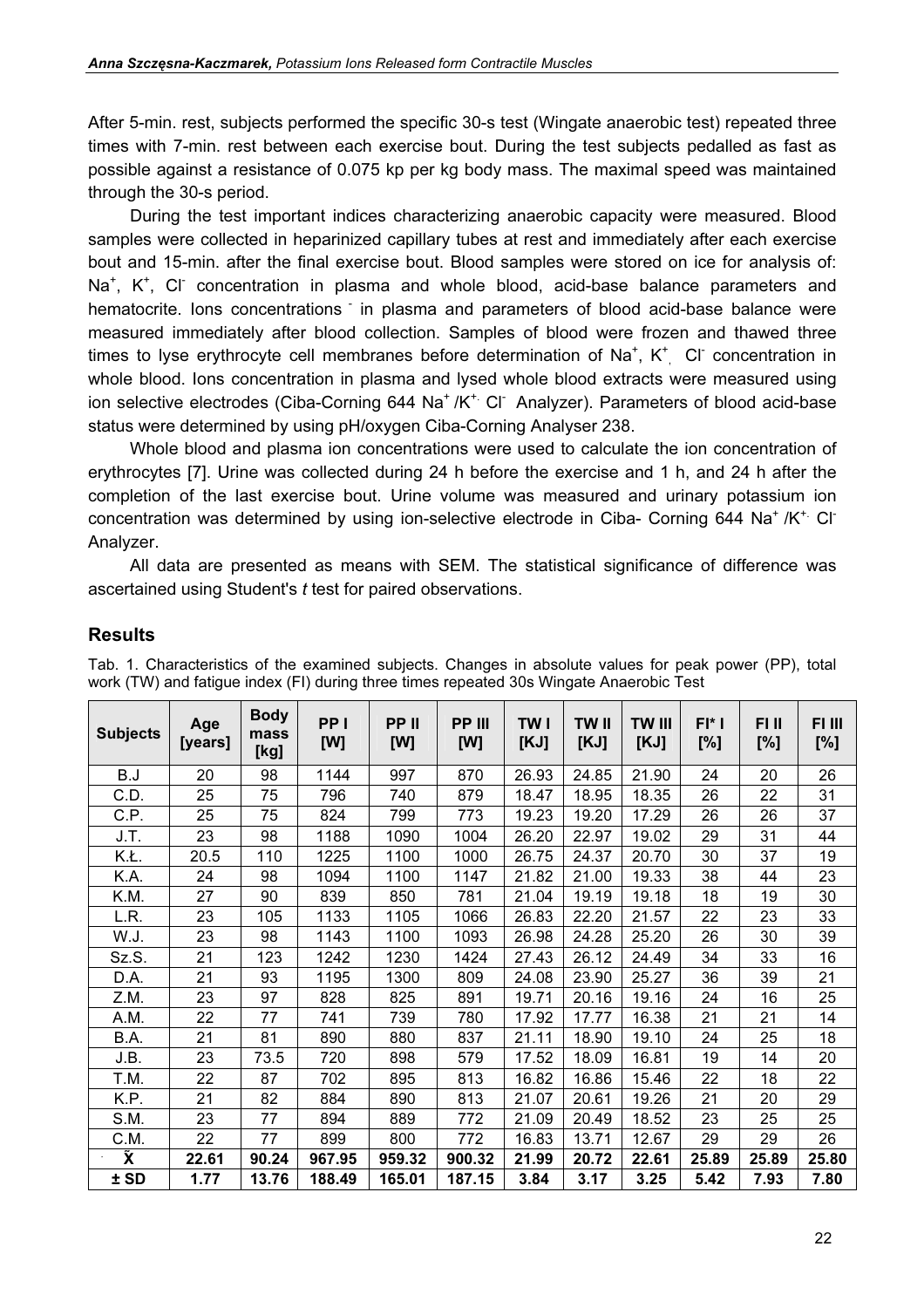After 5-min. rest, subjects performed the specific 30-s test (Wingate anaerobic test) repeated three times with 7-min. rest between each exercise bout. During the test subjects pedalled as fast as possible against a resistance of 0.075 kp per kg body mass. The maximal speed was maintained through the 30-s period.

During the test important indices characterizing anaerobic capacity were measured. Blood samples were collected in heparinized capillary tubes at rest and immediately after each exercise bout and 15-min. after the final exercise bout. Blood samples were stored on ice for analysis of: Na<sup>+</sup>, K<sup>+</sup>, Cl<sup>-</sup> concentration in plasma and whole blood, acid-base balance parameters and hematocrite. Ions concentrations in plasma and parameters of blood acid-base balance were measured immediately after blood collection. Samples of blood were frozen and thawed three times to lyse erythrocyte cell membranes before determination of Na<sup>+</sup>, K<sup>+</sup>, Cl<sup>-</sup> concentration in whole blood. Ions concentration in plasma and lysed whole blood extracts were measured using ion selective electrodes (Ciba-Corning 644 Na<sup>+</sup>/K<sup>+</sup> Cl<sup>-</sup> Analyzer). Parameters of blood acid-base status were determined by using pH/oxygen Ciba-Corning Analyser 238.

Whole blood and plasma ion concentrations were used to calculate the ion concentration of erythrocytes [7]. Urine was collected during 24 h before the exercise and 1 h, and 24 h after the completion of the last exercise bout. Urine volume was measured and urinary potassium ion concentration was determined by using ion-selective electrode in Ciba- Corning 644 Na<sup>+</sup> /K<sup>+</sup>. Cl<sup>-</sup> Analyzer.

All data are presented as means with SEM. The statistical significance of difference was ascertained using Student's t test for paired observations.

### Results

| <b>Subjects</b>      | Age<br>[years] | <b>Body</b><br>mass<br>[kg] | PP I<br>[W] | PP II<br>[W] | PP III<br>[W] | <b>TWI</b><br>[KJ] | <b>TWII</b><br>[KJ] | <b>TW III</b><br>[KJ] | $FI*$  <br>[%] | FI II<br>[%] | FI III<br>[%] |
|----------------------|----------------|-----------------------------|-------------|--------------|---------------|--------------------|---------------------|-----------------------|----------------|--------------|---------------|
| B.J                  | 20             | 98                          | 1144        | 997          | 870           | 26.93              | 24.85               | 21.90                 | 24             | 20           | 26            |
| C.D.                 | 25             | 75                          | 796         | 740          | 879           | 18.47              | 18.95               | 18.35                 | 26             | 22           | 31            |
| C.P.                 | 25             | 75                          | 824         | 799          | 773           | 19.23              | 19.20               | 17.29                 | 26             | 26           | 37            |
| J.T.                 | 23             | 98                          | 1188        | 1090         | 1004          | 26.20              | 22.97               | 19.02                 | 29             | 31           | 44            |
| K.Ł.                 | 20.5           | 110                         | 1225        | 1100         | 1000          | 26.75              | 24.37               | 20.70                 | 30             | 37           | 19            |
| K.A.                 | 24             | 98                          | 1094        | 1100         | 1147          | 21.82              | 21.00               | 19.33                 | 38             | 44           | 23            |
| K.M.                 | 27             | 90                          | 839         | 850          | 781           | 21.04              | 19.19               | 19.18                 | 18             | 19           | 30            |
| L.R.                 | 23             | 105                         | 1133        | 1105         | 1066          | 26.83              | 22.20               | 21.57                 | 22             | 23           | 33            |
| W.J.                 | 23             | 98                          | 1143        | 1100         | 1093          | 26.98              | 24.28               | 25.20                 | 26             | 30           | 39            |
| Sz.S.                | 21             | 123                         | 1242        | 1230         | 1424          | 27.43              | 26.12               | 24.49                 | 34             | 33           | 16            |
| D.A.                 | 21             | 93                          | 1195        | 1300         | 809           | 24.08              | 23.90               | 25.27                 | 36             | 39           | 21            |
| Z.M.                 | 23             | 97                          | 828         | 825          | 891           | 19.71              | 20.16               | 19.16                 | 24             | 16           | 25            |
| A.M.                 | 22             | 77                          | 741         | 739          | 780           | 17.92              | 17.77               | 16.38                 | 21             | 21           | 14            |
| B.A.                 | 21             | 81                          | 890         | 880          | 837           | 21.11              | 18.90               | 19.10                 | 24             | 25           | 18            |
| J.B.                 | 23             | 73.5                        | 720         | 898          | 579           | 17.52              | 18.09               | 16.81                 | 19             | 14           | 20            |
| T.M.                 | 22             | 87                          | 702         | 895          | 813           | 16.82              | 16.86               | 15.46                 | 22             | 18           | 22            |
| K.P.                 | 21             | 82                          | 884         | 890          | 813           | 21.07              | 20.61               | 19.26                 | 21             | 20           | 29            |
| S.M.                 | 23             | 77                          | 894         | 889          | 772           | 21.09              | 20.49               | 18.52                 | 23             | 25           | 25            |
| C.M.                 | 22             | 77                          | 899         | 800          | 772           | 16.83              | 13.71               | 12.67                 | 29             | 29           | 26            |
| $\tilde{\textbf{X}}$ | 22.61          | 90.24                       | 967.95      | 959.32       | 900.32        | 21.99              | 20.72               | 22.61                 | 25.89          | 25.89        | 25.80         |
| $±$ SD               | 1.77           | 13.76                       | 188.49      | 165.01       | 187.15        | 3.84               | 3.17                | 3.25                  | 5.42           | 7.93         | 7.80          |

Tab. 1. Characteristics of the examined subjects. Changes in absolute values for peak power (PP), total work (TW) and fatigue index (FI) during three times repeated 30s Wingate Anaerobic Test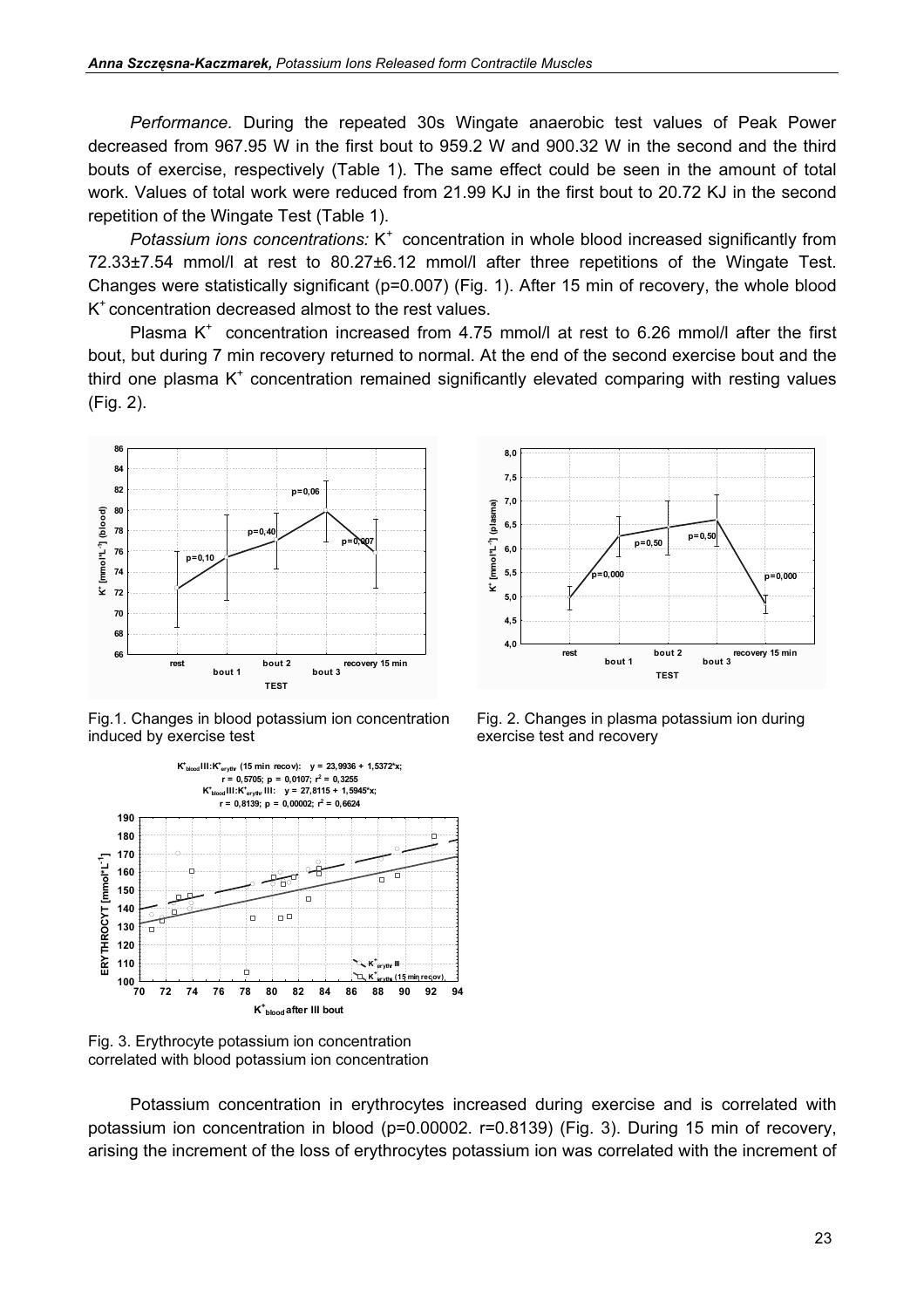Performance. During the repeated 30s Wingate anaerobic test values of Peak Power decreased from 967.95 W in the first bout to 959.2 W and 900.32 W in the second and the third bouts of exercise, respectively (Table 1). The same effect could be seen in the amount of total work. Values of total work were reduced from 21.99 KJ in the first bout to 20.72 KJ in the second repetition of the Wingate Test (Table 1).

Potassium ions concentrations:  $K^+$  concentration in whole blood increased significantly from 72.33±7.54 mmol/l at rest to 80.27±6.12 mmol/l after three repetitions of the Wingate Test. Changes were statistically significant (p=0.007) (Fig. 1). After 15 min of recovery, the whole blood K<sup>+</sup>concentration decreased almost to the rest values.

Plasma  $K^+$  concentration increased from 4.75 mmol/l at rest to 6.26 mmol/l after the first bout, but during 7 min recovery returned to normal. At the end of the second exercise bout and the third one plasma  $K^+$  concentration remained significantly elevated comparing with resting values (Fig. 2).



Fig.1. Changes in blood potassium ion concentration induced by exercise test



Fig. 3. Erythrocyte potassium ion concentration correlated with blood potassium ion concentration

Potassium concentration in erythrocytes increased during exercise and is correlated with potassium ion concentration in blood (p=0.00002. r=0.8139) (Fig. 3). During 15 min of recovery, arising the increment of the loss of erythrocytes potassium ion was correlated with the increment of



Fig. 2. Changes in plasma potassium ion during exercise test and recovery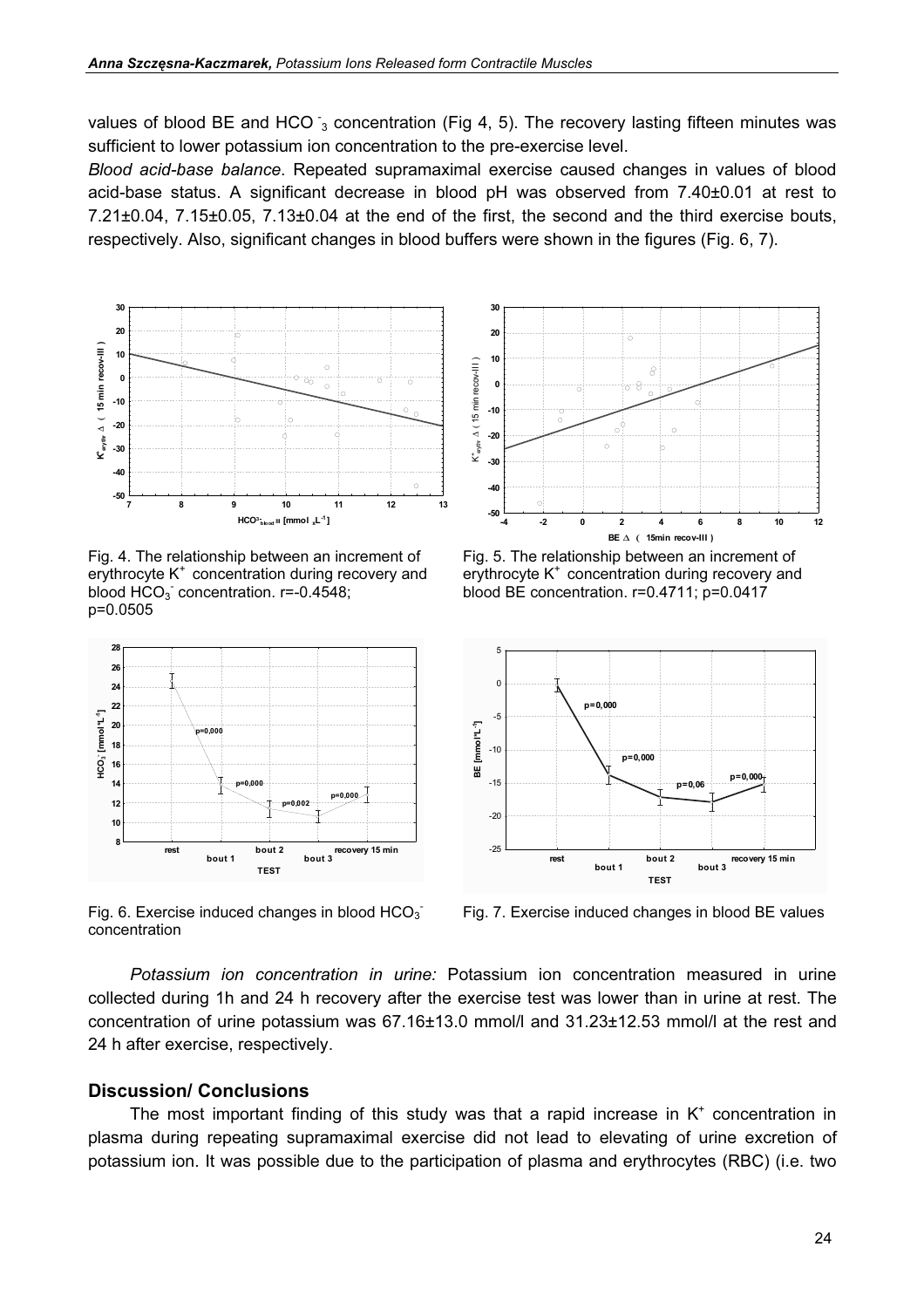values of blood BE and HCO  $_3$  concentration (Fig 4, 5). The recovery lasting fifteen minutes was sufficient to lower potassium ion concentration to the pre-exercise level.

Blood acid-base balance. Repeated supramaximal exercise caused changes in values of blood acid-base status. A significant decrease in blood pH was observed from 7.40±0.01 at rest to 7.21±0.04, 7.15±0.05, 7.13±0.04 at the end of the first, the second and the third exercise bouts, respectively. Also, significant changes in blood buffers were shown in the figures (Fig. 6, 7).



Fig. 4. The relationship between an increment of erythrocyte  $K^+$  concentration during recovery and  $\frac{1}{2}$  blood HCO<sub>3</sub> concentration.  $r=-0.4548$ ; p=0.0505



Fig. 6. Exercise induced changes in blood  $HCO_3$ <sup>-</sup> concentration



Fig. 5. The relationship between an increment of erythrocyte  $K^+$  concentration during recovery and blood BE concentration. r=0.4711; p=0.0417



Fig. 7. Exercise induced changes in blood BE values

Potassium ion concentration in urine: Potassium ion concentration measured in urine collected during 1h and 24 h recovery after the exercise test was lower than in urine at rest. The concentration of urine potassium was 67.16±13.0 mmol/l and 31.23±12.53 mmol/l at the rest and 24 h after exercise, respectively.

#### Discussion/ Conclusions

The most important finding of this study was that a rapid increase in  $K^+$  concentration in plasma during repeating supramaximal exercise did not lead to elevating of urine excretion of potassium ion. It was possible due to the participation of plasma and erythrocytes (RBC) (i.e. two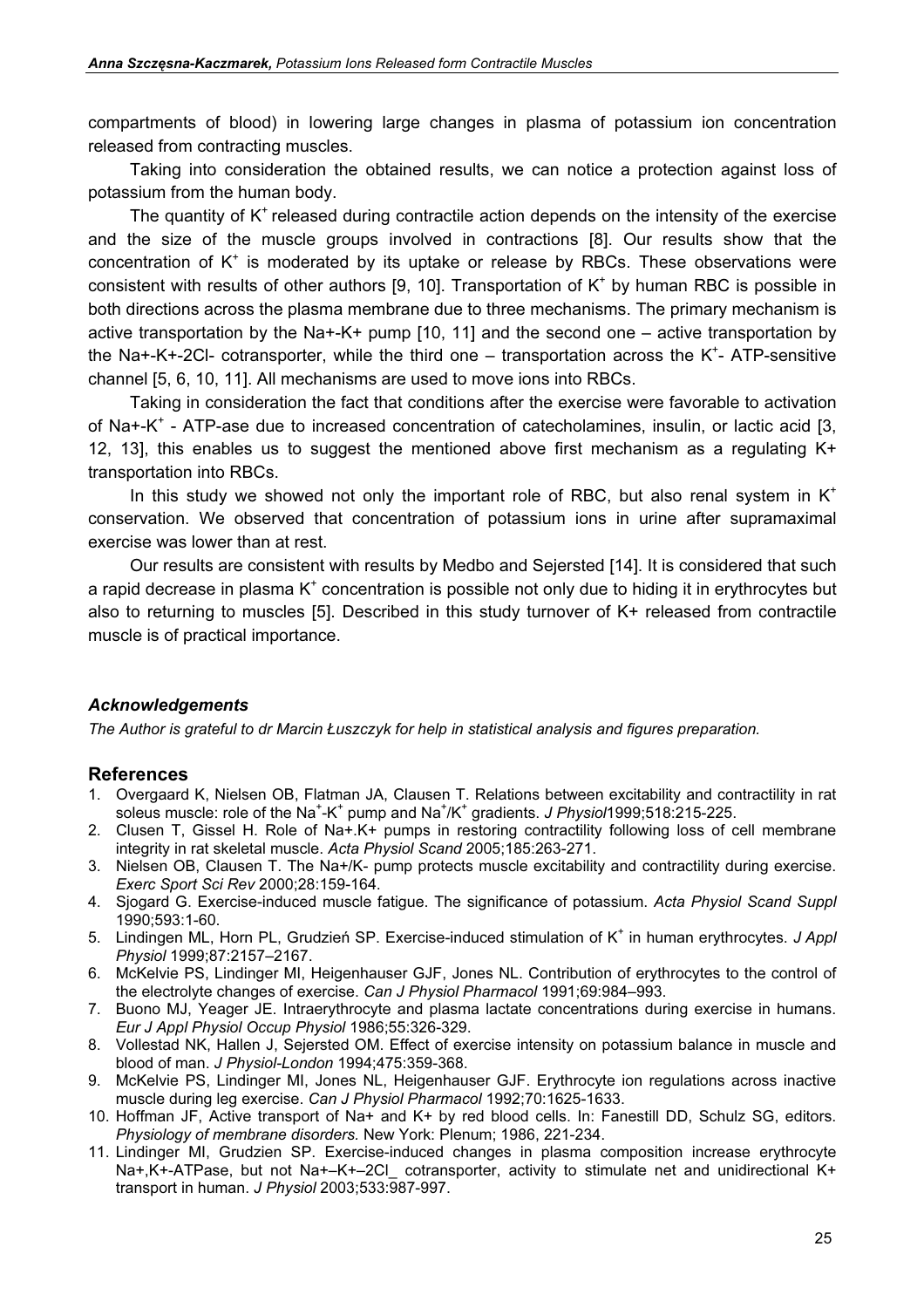compartments of blood) in lowering large changes in plasma of potassium ion concentration released from contracting muscles.

Taking into consideration the obtained results, we can notice a protection against loss of potassium from the human body.

The quantity of  $K^+$  released during contractile action depends on the intensity of the exercise and the size of the muscle groups involved in contractions [8]. Our results show that the concentration of  $K^+$  is moderated by its uptake or release by RBCs. These observations were consistent with results of other authors  $[9, 10]$ . Transportation of K<sup>+</sup> by human RBC is possible in both directions across the plasma membrane due to three mechanisms. The primary mechanism is active transportation by the Na+-K+ pump [10, 11] and the second one – active transportation by the Na+-K+-2Cl- cotransporter, while the third one  $-$  transportation across the K<sup>+</sup>- ATP-sensitive channel [5, 6, 10, 11]. All mechanisms are used to move ions into RBCs.

Taking in consideration the fact that conditions after the exercise were favorable to activation of Na+-K<sup>+</sup> - ATP-ase due to increased concentration of catecholamines, insulin, or lactic acid [3, 12, 13], this enables us to suggest the mentioned above first mechanism as a regulating K+ transportation into RBCs.

In this study we showed not only the important role of RBC, but also renal system in  $K^+$ conservation. We observed that concentration of potassium ions in urine after supramaximal exercise was lower than at rest.

Our results are consistent with results by Medbo and Sejersted [14]. It is considered that such a rapid decrease in plasma K<sup>+</sup> concentration is possible not only due to hiding it in erythrocytes but also to returning to muscles [5]. Described in this study turnover of K+ released from contractile muscle is of practical importance.

#### Acknowledgements

The Author is grateful to dr Marcin Łuszczyk for help in statistical analysis and figures preparation.

# References

- 1. Overgaard K, Nielsen OB, Flatman JA, Clausen T. Relations between excitability and contractility in rat soleus muscle: role of the Na<sup>+</sup>-K<sup>+</sup> pump and Na<sup>+</sup>/K<sup>+</sup> gradients. J Physiol1999;518:215-225.
- 2. Clusen T, Gissel H. Role of Na+.K+ pumps in restoring contractility following loss of cell membrane integrity in rat skeletal muscle. Acta Physiol Scand 2005;185:263-271.
- 3. Nielsen OB, Clausen T. The Na+/K- pump protects muscle excitability and contractility during exercise. Exerc Sport Sci Rev 2000;28:159-164.
- 4. Sjogard G. Exercise-induced muscle fatigue. The significance of potassium. Acta Physiol Scand Suppl 1990;593:1-60.
- 5. Lindingen ML, Horn PL, Grudzień SP. Exercise-induced stimulation of K<sup>+</sup> in human erythrocytes. J Appl Physiol 1999;87:2157–2167.
- 6. McKelvie PS, Lindinger MI, Heigenhauser GJF, Jones NL. Contribution of erythrocytes to the control of the electrolyte changes of exercise. Can J Physiol Pharmacol 1991;69:984–993.
- 7. Buono MJ, Yeager JE. Intraerythrocyte and plasma lactate concentrations during exercise in humans. Eur J Appl Physiol Occup Physiol 1986;55:326-329.
- 8. Vollestad NK, Hallen J, Sejersted OM. Effect of exercise intensity on potassium balance in muscle and blood of man. J Physiol-London 1994;475:359-368.
- 9. McKelvie PS, Lindinger MI, Jones NL, Heigenhauser GJF. Erythrocyte ion regulations across inactive muscle during leg exercise. Can J Physiol Pharmacol 1992;70:1625-1633.
- 10. Hoffman JF, Active transport of Na+ and K+ by red blood cells. In: Fanestill DD, Schulz SG, editors. Physiology of membrane disorders. New York: Plenum; 1986, 221-234.
- 11. Lindinger MI, Grudzien SP. Exercise-induced changes in plasma composition increase erythrocyte Na+,K+-ATPase, but not Na+-K+-2Cl cotransporter, activity to stimulate net and unidirectional K+ transport in human. J Physiol 2003;533:987-997.